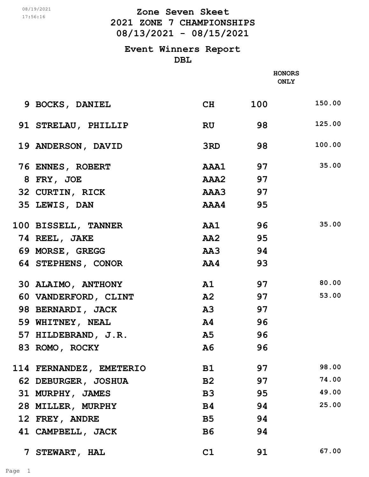## **2021 ZONE 7 CHAMPIONSHIPS 08/13/2021 - 08/15/2021 Zone Seven Skeet** 08/19/2021

#### **Event Winners Report DBL**

|                         |                                                                                                                                                                                                                               | <b>HONORS</b><br><b>ONLY</b> |        |
|-------------------------|-------------------------------------------------------------------------------------------------------------------------------------------------------------------------------------------------------------------------------|------------------------------|--------|
|                         |                                                                                                                                                                                                                               |                              |        |
| 9 BOCKS, DANIEL         | CH                                                                                                                                                                                                                            | 100                          | 150.00 |
| 91 STRELAU, PHILLIP     | RU                                                                                                                                                                                                                            | 98                           | 125.00 |
| 19 ANDERSON, DAVID      | 3RD and the Second Street Second Street Second Street Second Street Second Street Second Street Street Second Street Street Street Street Street Street Street Street Street Street Street Street Street Street Street Street | 98                           | 100.00 |
| 76 ENNES, ROBERT        | <b>AAA1</b> 97                                                                                                                                                                                                                |                              | 35.00  |
| 8 FRY, JOE              | AAA2 97                                                                                                                                                                                                                       |                              |        |
| 32 CURTIN, RICK         | AAA3 97                                                                                                                                                                                                                       |                              |        |
| 35 LEWIS, DAN           | AAA4 95                                                                                                                                                                                                                       |                              |        |
| 100 BISSELL, TANNER     | AA1 96                                                                                                                                                                                                                        |                              | 35.00  |
| 74 REEL, JAKE           | AA2 95                                                                                                                                                                                                                        |                              |        |
| 69 MORSE, GREGG         | AA3 94                                                                                                                                                                                                                        |                              |        |
| 64 STEPHENS, CONOR      | AA4                                                                                                                                                                                                                           | 93                           |        |
| 30 ALAIMO, ANTHONY      | A1                                                                                                                                                                                                                            | 97                           | 80.00  |
| 60 VANDERFORD, CLINT    | A2 97                                                                                                                                                                                                                         |                              | 53.00  |
| 98 BERNARDI, JACK       | A3                                                                                                                                                                                                                            | 97                           |        |
| 59 WHITNEY, NEAL        | A4                                                                                                                                                                                                                            | 96                           |        |
| 57 HILDEBRAND, J.R.     | A5                                                                                                                                                                                                                            | 96                           |        |
| 83 ROMO, ROCKY          | A6                                                                                                                                                                                                                            | 96                           |        |
| 114 FERNANDEZ, EMETERIO | <b>B1</b>                                                                                                                                                                                                                     | 97                           | 98.00  |
| 62 DEBURGER, JOSHUA     | B2                                                                                                                                                                                                                            | 97                           | 74.00  |
| 31 MURPHY, JAMES        | B <sub>3</sub>                                                                                                                                                                                                                | 95                           | 49.00  |
| 28 MILLER, MURPHY       | B4                                                                                                                                                                                                                            | 94                           | 25.00  |
| 12 FREY, ANDRE          | <b>B5</b>                                                                                                                                                                                                                     | 94                           |        |
| 41 CAMPBELL, JACK       | <b>B6</b>                                                                                                                                                                                                                     | 94                           |        |
|                         |                                                                                                                                                                                                                               |                              |        |

 **7 STEWART, HAL C1 91 67.00**

17:56:16

Page 1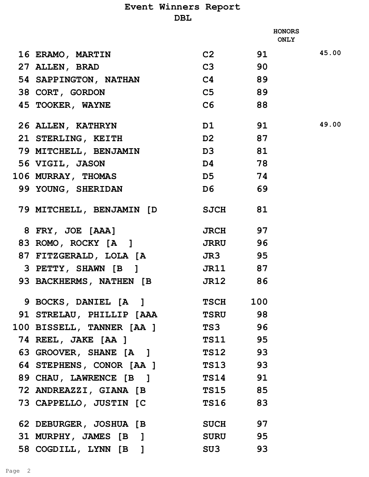## **Event Winners Report DBL**

|                                  | <b>HONORS</b><br><b>ONLY</b> |       |       |
|----------------------------------|------------------------------|-------|-------|
| <b>16 ERAMO, MARTIN</b>          |                              | C2 91 | 45.00 |
| 27 ALLEN, BRAD                   | C3 90                        |       |       |
| 54 SAPPINGTON, NATHAN            | $C4$ 89                      |       |       |
| 38 CORT, GORDON                  | C5 89                        |       |       |
| 45 TOOKER, WAYNE                 | C6 88                        |       |       |
| <b>26 ALLEN, KATHRYN</b>         |                              | D1 91 | 49.00 |
| 21 STERLING, KEITH               | D <sub>2</sub> 87            |       |       |
| 79 MITCHELL, BENJAMIN            | D3 81                        |       |       |
| 56 VIGIL, JASON                  | D4 78                        |       |       |
| 106 MURRAY, THOMAS               | D5 74                        |       |       |
| 99 YOUNG, SHERIDAN               | D6 69                        |       |       |
| 79 MITCHELL, BENJAMIN [D SJCH 81 |                              |       |       |
| 8 FRY, JOE [AAA]                 | JRCH 97                      |       |       |
| 83 ROMO, ROCKY [A]               | JRRU 96                      |       |       |
| 87 FITZGERALD, LOLA [A           | <b>JR3</b> 95                |       |       |
| 3 PETTY, SHAWN [B]               | JR11 87                      |       |       |
| 93 BACKHERMS, NATHEN [B]         | JR12 86                      |       |       |
| 9 BOCKS, DANIEL [A]              | <b>TSCH</b>                  | 100   |       |
| 91 STRELAU, PHILLIP [AAA TSRU 98 |                              |       |       |
| 100 BISSELL, TANNER [AA ] TS3 96 |                              |       |       |
| 74 REEL, JAKE [AA ]              | <b>TS11</b> 95               |       |       |
| 63 GROOVER, SHANE [A ] TS12 93   |                              |       |       |
| 64 STEPHENS, CONOR [AA ] TS13 93 |                              |       |       |
| 89 CHAU, LAWRENCE [B]            | <b>TS14</b> 91               |       |       |
| 72 ANDREAZZI, GIANA [B           | <b>TS15</b> 85               |       |       |
| 73 CAPPELLO, JUSTIN [C           | <b>TS16</b> 83               |       |       |
| 62 DEBURGER, JOSHUA [B           | <b>SUCH</b> 97               |       |       |
| 31 MURPHY, JAMES [B]             | <b>SURU</b> 95               |       |       |
| 58 COGDILL, LYNN [B]             | SU3                          | 93    |       |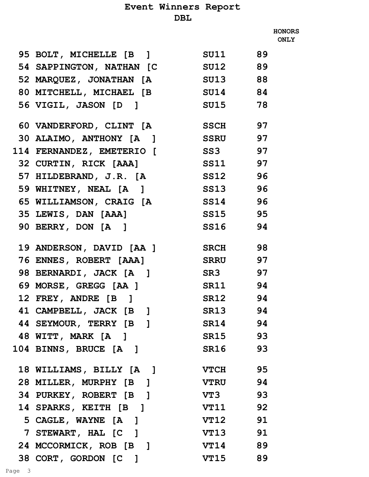# **Event Winners Report**

### **DBL**

|                                  |                |    | <b>HONORS</b><br><b>ONLY</b> |
|----------------------------------|----------------|----|------------------------------|
| 95 BOLT, MICHELLE [B ] SU11 89   |                |    |                              |
| 54 SAPPINGTON, NATHAN [C SU12 89 |                |    |                              |
| 52 MARQUEZ, JONATHAN [A SU13 88  |                |    |                              |
| 80 MITCHELL, MICHAEL [B SU14 84  |                |    |                              |
| 56 VIGIL, JASON [D]              | SU15 78        |    |                              |
| 60 VANDERFORD, CLINT [A SSCH 97  |                |    |                              |
| 30 ALAIMO, ANTHONY [A ] SSRU 97  |                |    |                              |
| 114 FERNANDEZ, EMETERIO [ SS3 97 |                |    |                              |
| 32 CURTIN, RICK [AAA]            | SS11 97        |    |                              |
| 57 HILDEBRAND, J.R. [A SS12 96   |                |    |                              |
| 59 WHITNEY, NEAL [A ] SS13 96    |                |    |                              |
| 65 WILLIAMSON, CRAIG [A SS14 96  |                |    |                              |
| 35 LEWIS, DAN [AAA]              | SS15 95        |    |                              |
| 90 BERRY, DON [A]                | <b>SS16</b> 94 |    |                              |
| 19 ANDERSON, DAVID [AA ] SRCH 98 |                |    |                              |
| 76 ENNES, ROBERT [AAA] SRRU 97   |                |    |                              |
| 98 BERNARDI, JACK [A]            | <b>SR3</b> 97  |    |                              |
| 69 MORSE, GREGG [AA ]            | SR11 94        |    |                              |
| 12 FREY, ANDRE [B]               | <b>SR12</b> 94 |    |                              |
| 41 CAMPBELL, JACK [B]            | SR13           | 94 |                              |
| 44 SEYMOUR, TERRY [B]            | SR14 94        |    |                              |
| 48 WITT, MARK [A]                | SR15 93        |    |                              |
| 104 BINNS, BRUCE [A]             | SR16           | 93 |                              |
| 18 WILLIAMS, BILLY [A]           | <b>VTCH</b>    | 95 |                              |
| 28 MILLER, MURPHY [B]            | <b>VTRU</b> 94 |    |                              |
| 34 PURKEY, ROBERT [B]            | <b>VT3</b> 93  |    |                              |
| <b>14 SPARKS, KEITH [B]</b>      | <b>VT11</b> 92 |    |                              |
| 5 CAGLE, WAYNE [A]               | VT12           | 91 |                              |
| 7 STEWART, HAL [C]               | <b>VT13</b> 91 |    |                              |
| 24 MCCORMICK, ROB [B ]           | <b>VT14</b> 89 |    |                              |
| 38 CORT, GORDON [C]              | <b>VT15</b> 89 |    |                              |